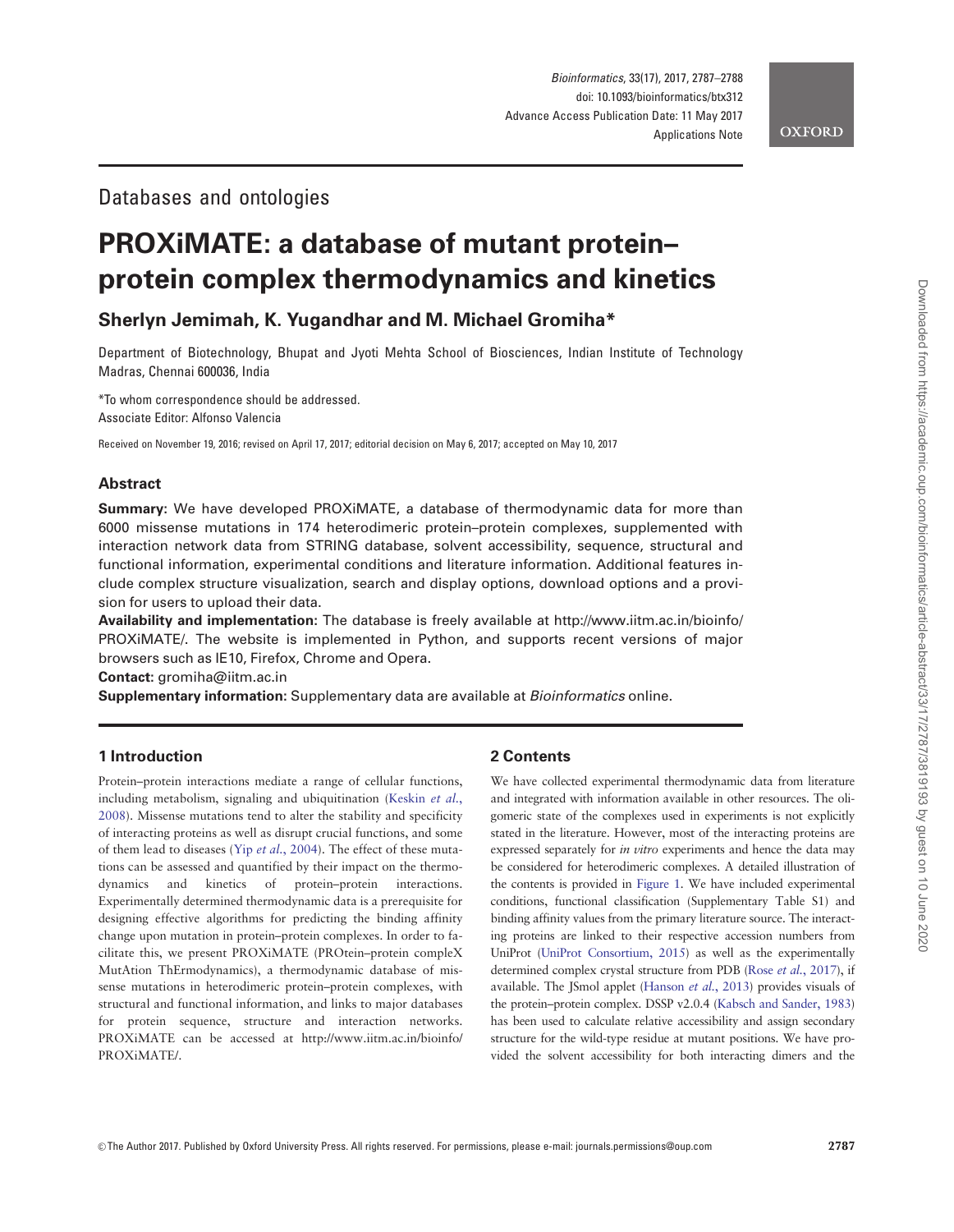# Databases and ontologies

# PROXiMATE: a database of mutant protein– protein complex thermodynamics and kinetics

Sherlyn Jemimah, K. Yugandhar and M. Michael Gromiha\*

Department of Biotechnology, Bhupat and Jyoti Mehta School of Biosciences, Indian Institute of Technology Madras, Chennai 600036, India

\*To whom correspondence should be addressed. Associate Editor: Alfonso Valencia

Received on November 19, 2016; revised on April 17, 2017; editorial decision on May 6, 2017; accepted on May 10, 2017

### Abstract

Summary: We have developed PROXiMATE, a database of thermodynamic data for more than 6000 missense mutations in 174 heterodimeric protein–protein complexes, supplemented with interaction network data from STRING database, solvent accessibility, sequence, structural and functional information, experimental conditions and literature information. Additional features include complex structure visualization, search and display options, download options and a provision for users to upload their data.

Availability and implementation: The database is freely available at [http://www.iitm.ac.in/bioinfo/](http://www.iitm.ac.in/bioinfo/PROXiMATE/) [PROXiMATE/.](http://www.iitm.ac.in/bioinfo/PROXiMATE/) The website is implemented in Python, and supports recent versions of major browsers such as IE10, Firefox, Chrome and Opera.

Contact: gromiha@iitm.ac.in

Supplementary information: Supplementary data are available at Bioinformatics online.

# 1 Introduction

Protein–protein interactions mediate a range of cellular functions, including metabolism, signaling and ubiquitination ([Keskin](#page-1-0) et al., [2008\)](#page-1-0). Missense mutations tend to alter the stability and specificity of interacting proteins as well as disrupt crucial functions, and some of them lead to diseases (Yip et al.[, 2004\)](#page-1-0). The effect of these mutations can be assessed and quantified by their impact on the thermodynamics and kinetics of protein–protein interactions. Experimentally determined thermodynamic data is a prerequisite for designing effective algorithms for predicting the binding affinity change upon mutation in protein–protein complexes. In order to facilitate this, we present PROXiMATE (PROtein–protein compleX MutAtion ThErmodynamics), a thermodynamic database of missense mutations in heterodimeric protein–protein complexes, with structural and functional information, and links to major databases for protein sequence, structure and interaction networks. PROXiMATE can be accessed at [http://www.iitm.ac.in/bioinfo/](http://www.iitm.ac.in/bioinfo/PROXiMATE/) [PROXiMATE/.](http://www.iitm.ac.in/bioinfo/PROXiMATE/)

## 2 Contents

We have collected experimental thermodynamic data from literature and integrated with information available in other resources. The oligomeric state of the complexes used in experiments is not explicitly stated in the literature. However, most of the interacting proteins are expressed separately for in vitro experiments and hence the data may be considered for heterodimeric complexes. A detailed illustration of the contents is provided in [Figure 1.](#page-1-0) We have included experimental conditions, functional classification (Supplementary Table S1) and binding affinity values from the primary literature source. The interacting proteins are linked to their respective accession numbers from UniProt ([UniProt Consortium, 2015](#page-1-0)) as well as the experimentally determined complex crystal structure from PDB (Rose et al.[, 2017](#page-1-0)), if available. The JSmol applet [\(Hanson](#page-1-0) et al., 2013) provides visuals of the protein–protein complex. DSSP v2.0.4 ([Kabsch and Sander, 1983](#page-1-0)) has been used to calculate relative accessibility and assign secondary structure for the wild-type residue at mutant positions. We have provided the solvent accessibility for both interacting dimers and the